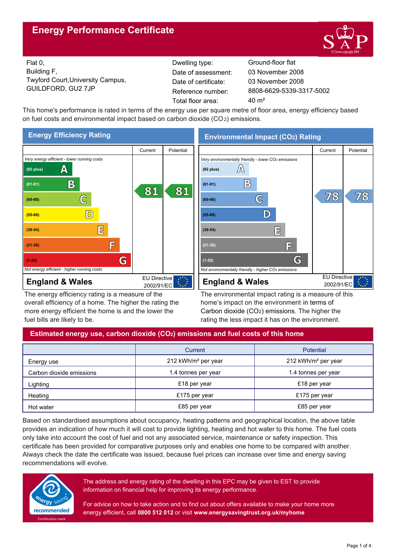# **Energy Performance Certificate**



EU Directive 2002/91/EC

 $\overline{7}$  $\overline{8}$ 

 $78$ 

Flat 0, Building F, Twyford Court,University Campus, GUILDFORD, GU2 7JP Reference number:

Dwelling type: Ground-floor flat Date of certificate: Total floor area: 40 m<sup>2</sup> Date of assessment:

8808-6629-5339-3317-5002 03 November 2008 03 November 2008

This home's performance is rated in terms of the energy use per square metre of floor area, energy efficiency based on fuel costs and environmental impact based on carbon dioxide (CO2) emissions.



The energy efficiency rating is a measure of the overall efficiency of a home. The higher the rating the more energy efficient the home is and the lower the fuel bills are likely to be.

The environmental impact rating is a measure of this home's impact on the environment in terms of Carbon dioxide (CO2) emissions. The higher the rating the less impact it has on the environment.

## **Estimated energy use, carbon dioxide (CO2) emissions and fuel costs of this home**

|                          | Current                         | Potential                       |  |
|--------------------------|---------------------------------|---------------------------------|--|
| Energy use               | 212 kWh/m <sup>2</sup> per year | 212 kWh/m <sup>2</sup> per year |  |
| Carbon dioxide emissions | 1.4 tonnes per year             | 1.4 tonnes per year             |  |
| Lighting                 | £18 per year                    | £18 per year                    |  |
| Heating                  | £175 per year                   | £175 per year                   |  |
| Hot water                | £85 per year                    | £85 per year                    |  |

Based on standardised assumptions about occupancy, heating patterns and geographical location, the above table provides an indication of how much it will cost to provide lighting, heating and hot water to this home. The fuel costs only take into account the cost of fuel and not any associated service, maintenance or safety inspection. This certificate has been provided for comparative purposes only and enables one home to be compared with another. Always check the date the certificate was issued, because fuel prices can increase over time and energy saving recommendations will evolve.



The address and energy rating of the dwelling in this EPC may be given to EST to provide information on financial help for improving its energy performance.

For advice on how to take action and to find out about offers available to make your home more energy efficient, call **0800 512 012** or visit **www.energysavingtrust.org.uk/myhome**

# **Environmental Impact (CO2) Rating**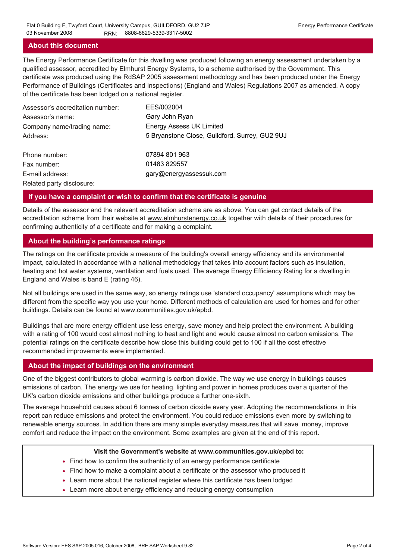### **About this document**

The Energy Performance Certificate for this dwelling was produced following an energy assessment undertaken by a qualified assessor, accredited by Elmhurst Energy Systems, to a scheme authorised by the Government. This certificate was produced using the RdSAP 2005 assessment methodology and has been produced under the Energy Performance of Buildings (Certificates and Inspections) (England and Wales) Regulations 2007 as amended. A copy of the certificate has been lodged on a national register.

| Assessor's accreditation number: | EES/002004                                     |
|----------------------------------|------------------------------------------------|
| Assessor's name:                 | Gary John Ryan                                 |
| Company name/trading name:       | <b>Energy Assess UK Limited</b>                |
| Address:                         | 5 Bryanstone Close, Guildford, Surrey, GU2 9UJ |
| Phone number:                    | 07894 801 963                                  |
| Fax number:                      | 01483 829557                                   |
| E-mail address:                  | gary@energyassessuk.com                        |
| Related party disclosure:        |                                                |

### **If you have a complaint or wish to confirm that the certificate is genuine**

Details of the assessor and the relevant accreditation scheme are as above. You can get contact details of the accreditation scheme from their website at www.elmhurstenergy.co.uk together with details of their procedures for confirming authenticity of a certificate and for making a complaint.

### **About the building's performance ratings**

The ratings on the certificate provide a measure of the building's overall energy efficiency and its environmental impact, calculated in accordance with a national methodology that takes into account factors such as insulation, heating and hot water systems, ventilation and fuels used. The average Energy Efficiency Rating for a dwelling in England and Wales is band E (rating 46).

Not all buildings are used in the same way, so energy ratings use 'standard occupancy' assumptions which may be different from the specific way you use your home. Different methods of calculation are used for homes and for other buildings. Details can be found at www.communities.gov.uk/epbd.

Buildings that are more energy efficient use less energy, save money and help protect the environment. A building with a rating of 100 would cost almost nothing to heat and light and would cause almost no carbon emissions. The potential ratings on the certificate describe how close this building could get to 100 if all the cost effective recommended improvements were implemented.

### **About the impact of buildings on the environment**

One of the biggest contributors to global warming is carbon dioxide. The way we use energy in buildings causes emissions of carbon. The energy we use for heating, lighting and power in homes produces over a quarter of the UK's carbon dioxide emissions and other buildings produce a further one-sixth.

The average household causes about 6 tonnes of carbon dioxide every year. Adopting the recommendations in this report can reduce emissions and protect the environment. You could reduce emissions even more by switching to renewable energy sources. In addition there are many simple everyday measures that will save money, improve comfort and reduce the impact on the environment. Some examples are given at the end of this report.

#### **Visit the Government's website at www.communities.gov.uk/epbd to:**

- Find how to confirm the authenticity of an energy performance certificate
- Find how to make a complaint about a certificate or the assessor who produced it •
- Learn more about the national register where this certificate has been lodged •
- Learn more about energy efficiency and reducing energy consumption •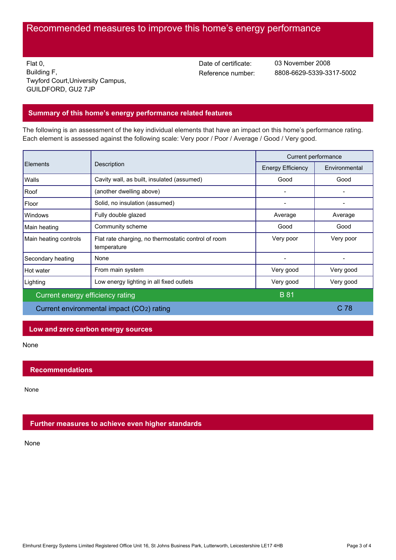# Recommended measures to improve this home's energy performance

Flat 0, Building F, Twyford Court,University Campus, GUILDFORD, GU2 7JP

Date of certificate:

Reference number: 8808-6629-5339-3317-5002 03 November 2008

### **Summary of this home's energy performance related features**

The following is an assessment of the key individual elements that have an impact on this home's performance rating. Each element is assessed against the following scale: Very poor / Poor / Average / Good / Very good.

|                                           |                                                                    | Current performance      |                 |
|-------------------------------------------|--------------------------------------------------------------------|--------------------------|-----------------|
| Elements                                  | Description                                                        | <b>Energy Efficiency</b> | Environmental   |
| Walls                                     | Cavity wall, as built, insulated (assumed)                         | Good                     | Good            |
| Roof                                      | (another dwelling above)                                           |                          |                 |
| Floor                                     | Solid, no insulation (assumed)                                     |                          |                 |
| Windows                                   | Fully double glazed                                                | Average                  | Average         |
| Main heating                              | Community scheme                                                   | Good                     | Good            |
| Main heating controls                     | Flat rate charging, no thermostatic control of room<br>temperature | Very poor                | Very poor       |
| Secondary heating                         | None                                                               |                          |                 |
| Hot water                                 | From main system                                                   | Very good                | Very good       |
| Lighting                                  | Low energy lighting in all fixed outlets                           | Very good                | Very good       |
| Current energy efficiency rating          |                                                                    | <b>B</b> 81              |                 |
| Current environmental impact (CO2) rating |                                                                    |                          | C <sub>78</sub> |

### **Low and zero carbon energy sources**

None

### **Recommendations**

None

### **Further measures to achieve even higher standards**

None